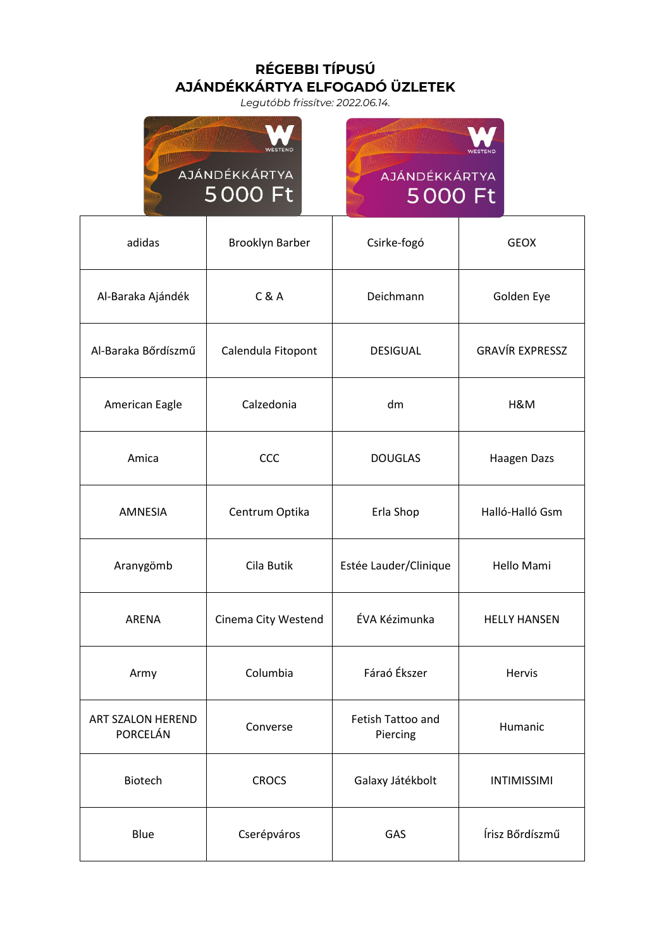## **RÉGEBBI TÍPUSÚ AJÁNDÉKKÁRTYA ELFOGADÓ ÜZLETEK**

*Legutóbb frissítve: 2022.06.14.*





| adidas                        | Brooklyn Barber     | Csirke-fogó                   | <b>GEOX</b>            |
|-------------------------------|---------------------|-------------------------------|------------------------|
| Al-Baraka Ajándék             | C & A               | Deichmann                     | Golden Eye             |
| Al-Baraka Bőrdíszmű           | Calendula Fitopont  | <b>DESIGUAL</b>               | <b>GRAVÍR EXPRESSZ</b> |
| American Eagle                | Calzedonia          | dm                            | H&M                    |
| Amica                         | CCC                 | <b>DOUGLAS</b>                | Haagen Dazs            |
| <b>AMNESIA</b>                | Centrum Optika      | Erla Shop                     | Halló-Halló Gsm        |
| Aranygömb                     | Cila Butik          | Estée Lauder/Clinique         | Hello Mami             |
| ARENA                         | Cinema City Westend | ÉVA Kézimunka                 | <b>HELLY HANSEN</b>    |
| Army                          | Columbia            | Fáraó Ékszer                  | Hervis                 |
| ART SZALON HEREND<br>PORCELÁN | Converse            | Fetish Tattoo and<br>Piercing | Humanic                |
| Biotech                       | <b>CROCS</b>        | Galaxy Játékbolt              | <b>INTIMISSIMI</b>     |
| Blue                          | Cserépváros         | GAS                           | Írisz Bőrdíszmű        |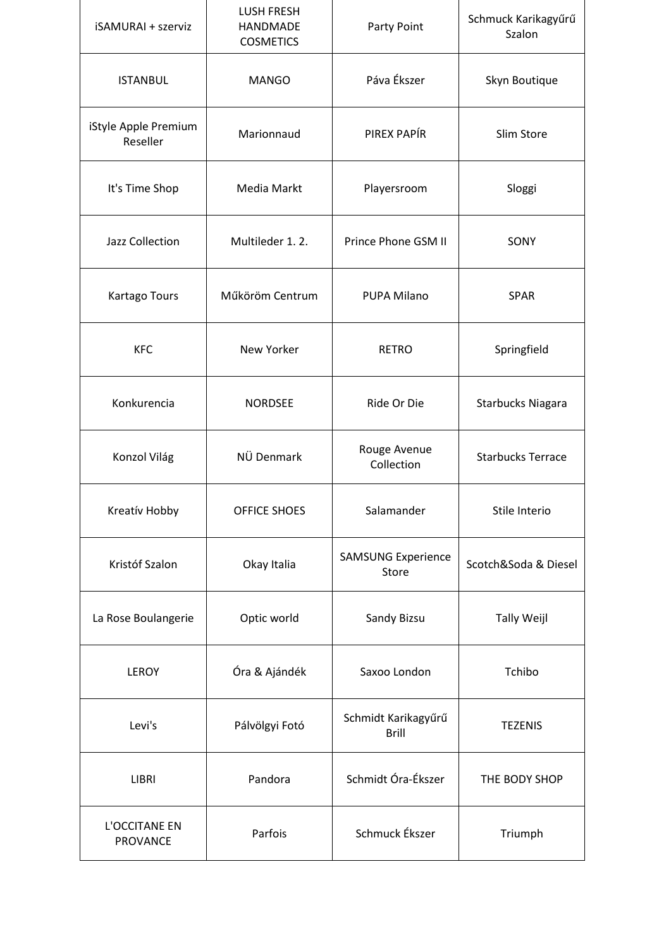| <b>iSAMURAI + szerviz</b>        | <b>LUSH FRESH</b><br>HANDMADE<br><b>COSMETICS</b> | Party Point                         | Schmuck Karikagyűrű<br>Szalon |
|----------------------------------|---------------------------------------------------|-------------------------------------|-------------------------------|
| <b>ISTANBUL</b>                  | <b>MANGO</b>                                      | Páva Ékszer                         | Skyn Boutique                 |
| iStyle Apple Premium<br>Reseller | Marionnaud                                        | PIREX PAPÍR                         | Slim Store                    |
| It's Time Shop                   | Media Markt                                       | Playersroom                         | Sloggi                        |
| Jazz Collection                  | Multileder 1.2.                                   | Prince Phone GSM II                 | SONY                          |
| <b>Kartago Tours</b>             | Műköröm Centrum                                   | <b>PUPA Milano</b>                  | <b>SPAR</b>                   |
| <b>KFC</b>                       | New Yorker                                        | <b>RETRO</b>                        | Springfield                   |
| Konkurencia                      | <b>NORDSEE</b>                                    | Ride Or Die                         | Starbucks Niagara             |
| Konzol Világ                     | NÜ Denmark                                        | Rouge Avenue<br>Collection          | <b>Starbucks Terrace</b>      |
| Kreatív Hobby                    | <b>OFFICE SHOES</b>                               | Salamander                          | Stile Interio                 |
| Kristóf Szalon                   | Okay Italia                                       | <b>SAMSUNG Experience</b><br>Store  | Scotch&Soda & Diesel          |
| La Rose Boulangerie              | Optic world                                       | Sandy Bizsu                         | <b>Tally Weijl</b>            |
| LEROY                            | Óra & Ajándék                                     | Saxoo London                        | Tchibo                        |
| Levi's                           | Pálvölgyi Fotó                                    | Schmidt Karikagyűrű<br><b>Brill</b> | <b>TEZENIS</b>                |
| LIBRI                            | Pandora                                           | Schmidt Óra-Ékszer                  | THE BODY SHOP                 |
| L'OCCITANE EN<br><b>PROVANCE</b> | Parfois                                           | Schmuck Ékszer                      | Triumph                       |